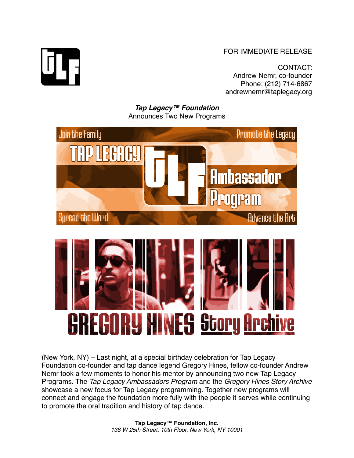FOR IMMEDIATE RELEASE

CONTACT: Andrew Nemr, co-founder Phone: (212) 714-6867 andrewnemr@taplegacy.org

*Tap Legacy™ Foundation* Announces Two New Programs





(New York, NY) – Last night, at a special birthday celebration for Tap Legacy Foundation co-founder and tap dance legend Gregory Hines, fellow co-founder Andrew Nemr took a few moments to honor his mentor by announcing two new Tap Legacy Programs. The *Tap Legacy Ambassadors Program* and the *Gregory Hines Story Archive* showcase a new focus for Tap Legacy programming. Together new programs will connect and engage the foundation more fully with the people it serves while continuing to promote the oral tradition and history of tap dance.